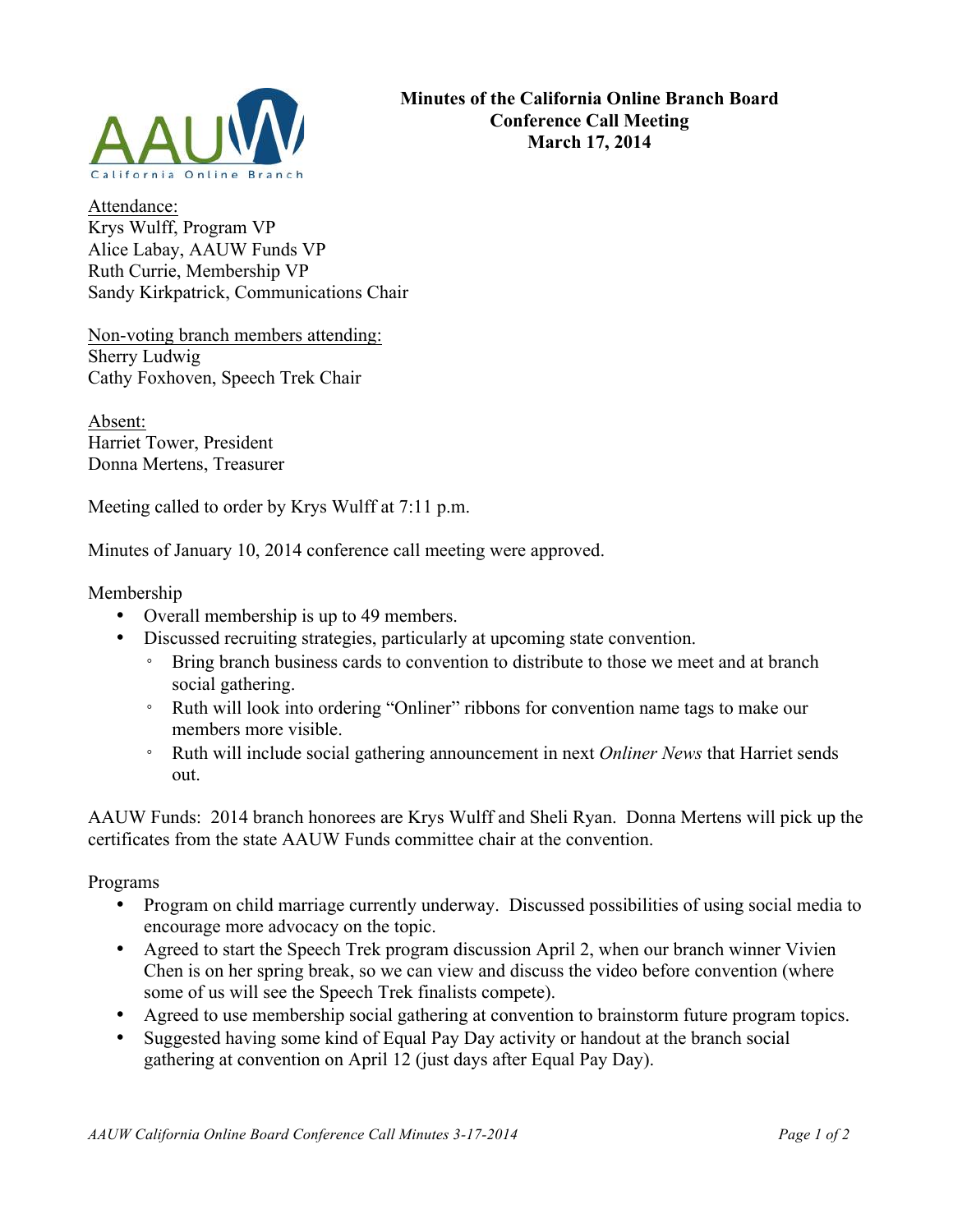

Attendance: Krys Wulff, Program VP Alice Labay, AAUW Funds VP Ruth Currie, Membership VP Sandy Kirkpatrick, Communications Chair

Non-voting branch members attending: Sherry Ludwig Cathy Foxhoven, Speech Trek Chair

Absent: Harriet Tower, President Donna Mertens, Treasurer

Meeting called to order by Krys Wulff at 7:11 p.m.

Minutes of January 10, 2014 conference call meeting were approved.

Membership

- Overall membership is up to 49 members.
- Discussed recruiting strategies, particularly at upcoming state convention.
	- Bring branch business cards to convention to distribute to those we meet and at branch social gathering.
	- Ruth will look into ordering "Onliner" ribbons for convention name tags to make our members more visible.
	- Ruth will include social gathering announcement in next *Onliner News* that Harriet sends out.

AAUW Funds: 2014 branch honorees are Krys Wulff and Sheli Ryan. Donna Mertens will pick up the certificates from the state AAUW Funds committee chair at the convention.

Programs

- Program on child marriage currently underway. Discussed possibilities of using social media to encourage more advocacy on the topic.
- Agreed to start the Speech Trek program discussion April 2, when our branch winner Vivien Chen is on her spring break, so we can view and discuss the video before convention (where some of us will see the Speech Trek finalists compete).
- Agreed to use membership social gathering at convention to brainstorm future program topics.
- Suggested having some kind of Equal Pay Day activity or handout at the branch social gathering at convention on April 12 (just days after Equal Pay Day).